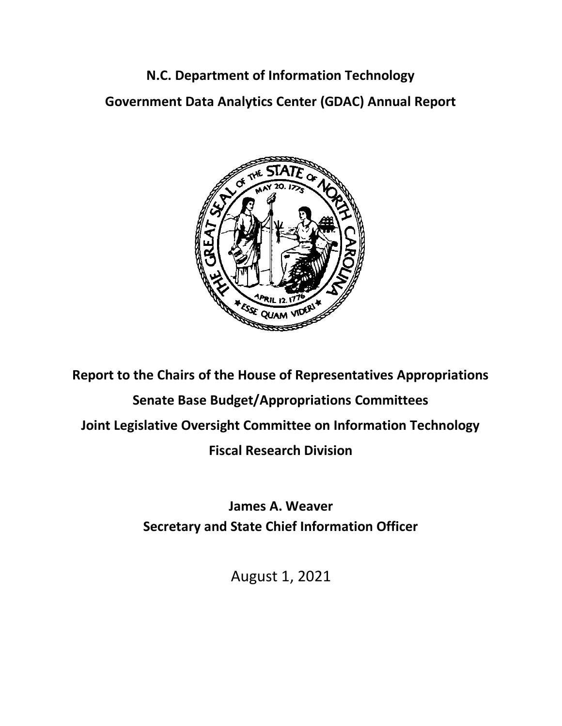**N.C. Department of Information Technology**

**Government Data Analytics Center (GDAC) Annual Report**



**Report to the Chairs of the House of Representatives Appropriations Senate Base Budget/Appropriations Committees Joint Legislative Oversight Committee on Information Technology Fiscal Research Division** 

> **James A. Weaver Secretary and State Chief Information Officer**

> > August 1, 2021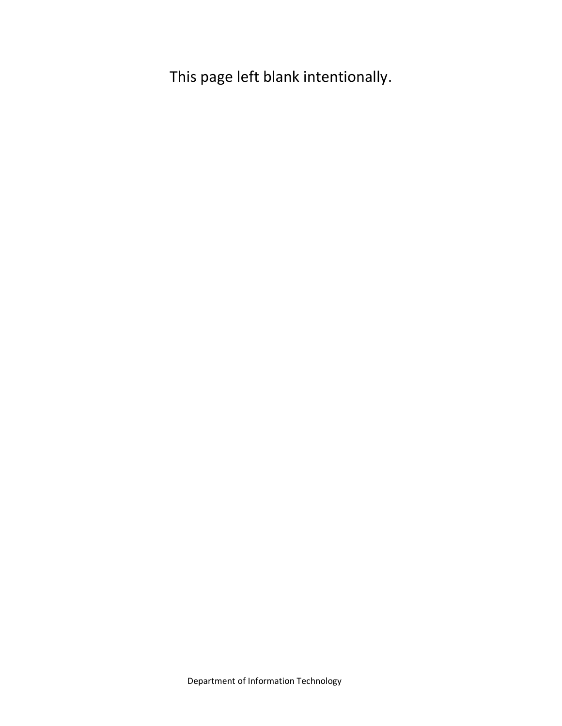This page left blank intentionally.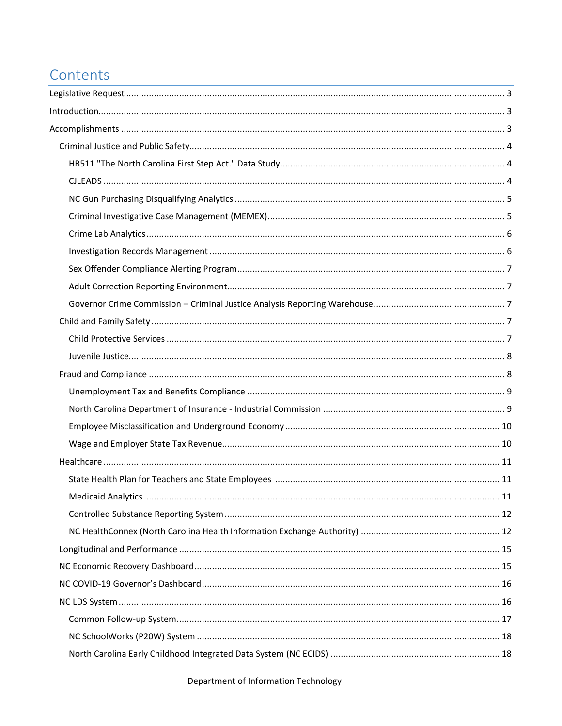# Contents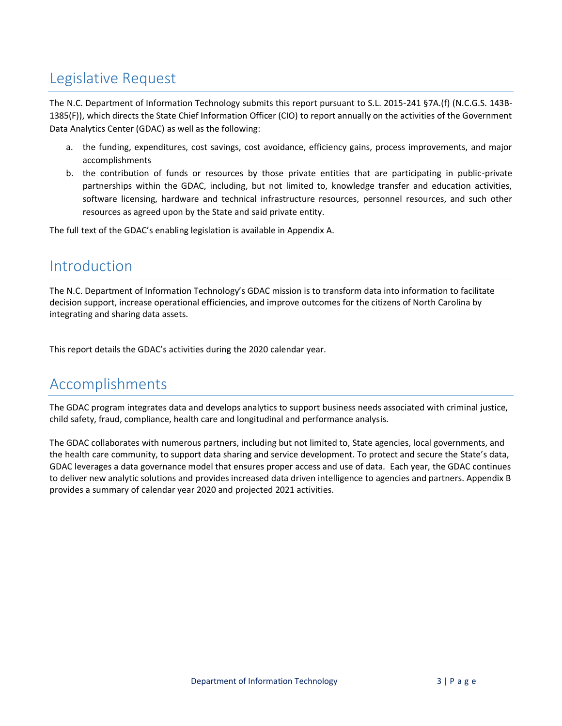# <span id="page-4-0"></span>Legislative Request

The N.C. Department of Information Technology submits this report pursuant to S.L. 2015-241 §7A.(f) (N.C.G.S. 143B-1385(F)), which directs the State Chief Information Officer (CIO) to report annually on the activities of the Government Data Analytics Center (GDAC) as well as the following:

- a. the funding, expenditures, cost savings, cost avoidance, efficiency gains, process improvements, and major accomplishments
- b. the contribution of funds or resources by those private entities that are participating in public-private partnerships within the GDAC, including, but not limited to, knowledge transfer and education activities, software licensing, hardware and technical infrastructure resources, personnel resources, and such other resources as agreed upon by the State and said private entity.

The full text of the GDAC's enabling legislation is available in Appendix A.

# <span id="page-4-1"></span>Introduction

The N.C. Department of Information Technology's GDAC mission is to transform data into information to facilitate decision support, increase operational efficiencies, and improve outcomes for the citizens of North Carolina by integrating and sharing data assets.

<span id="page-4-2"></span>This report details the GDAC's activities during the 2020 calendar year.

# Accomplishments

The GDAC program integrates data and develops analytics to support business needs associated with criminal justice, child safety, fraud, compliance, health care and longitudinal and performance analysis.

The GDAC collaborates with numerous partners, including but not limited to, State agencies, local governments, and the health care community, to support data sharing and service development. To protect and secure the State's data, GDAC leverages a data governance model that ensures proper access and use of data. Each year, the GDAC continues to deliver new analytic solutions and provides increased data driven intelligence to agencies and partners. Appendix B provides a summary of calendar year 2020 and projected 2021 activities.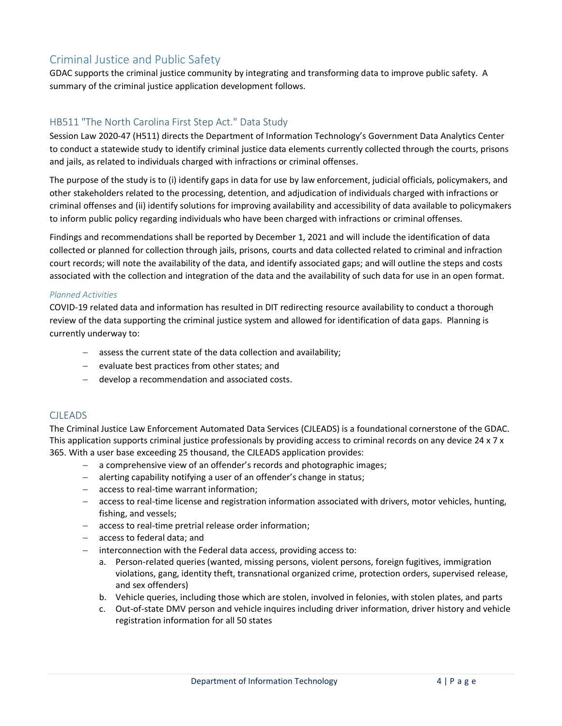# <span id="page-5-0"></span>Criminal Justice and Public Safety

GDAC supports the criminal justice community by integrating and transforming data to improve public safety. A summary of the criminal justice application development follows.

# <span id="page-5-1"></span>HB511 "The North Carolina First Step Act." Data Study

Session Law 2020-47 (H511) directs the Department of Information Technology's Government Data Analytics Center to conduct a statewide study to identify criminal justice data elements currently collected through the courts, prisons and jails, as related to individuals charged with infractions or criminal offenses.

The purpose of the study is to (i) identify gaps in data for use by law enforcement, judicial officials, policymakers, and other stakeholders related to the processing, detention, and adjudication of individuals charged with infractions or criminal offenses and (ii) identify solutions for improving availability and accessibility of data available to policymakers to inform public policy regarding individuals who have been charged with infractions or criminal offenses.

Findings and recommendations shall be reported by December 1, 2021 and will include the identification of data collected or planned for collection through jails, prisons, courts and data collected related to criminal and infraction court records; will note the availability of the data, and identify associated gaps; and will outline the steps and costs associated with the collection and integration of the data and the availability of such data for use in an open format.

# *Planned Activities*

COVID-19 related data and information has resulted in DIT redirecting resource availability to conduct a thorough review of the data supporting the criminal justice system and allowed for identification of data gaps. Planning is currently underway to:

- − assess the current state of the data collection and availability;
- − evaluate best practices from other states; and
- − develop a recommendation and associated costs.

# <span id="page-5-2"></span>CJLEADS

The Criminal Justice Law Enforcement Automated Data Services (CJLEADS) is a foundational cornerstone of the GDAC. This application supports criminal justice professionals by providing access to criminal records on any device 24 x 7 x 365. With a user base exceeding 25 thousand, the CJLEADS application provides:

- − a comprehensive view of an offender's records and photographic images;
- − alerting capability notifying a user of an offender's change in status;
- − access to real-time warrant information;
- − access to real-time license and registration information associated with drivers, motor vehicles, hunting, fishing, and vessels;
- − access to real-time pretrial release order information;
- − access to federal data; and
- − interconnection with the Federal data access, providing access to:
	- a. Person-related queries (wanted, missing persons, violent persons, foreign fugitives, immigration violations, gang, identity theft, transnational organized crime, protection orders, supervised release, and sex offenders)
	- b. Vehicle queries, including those which are stolen, involved in felonies, with stolen plates, and parts
	- c. Out-of-state DMV person and vehicle inquires including driver information, driver history and vehicle registration information for all 50 states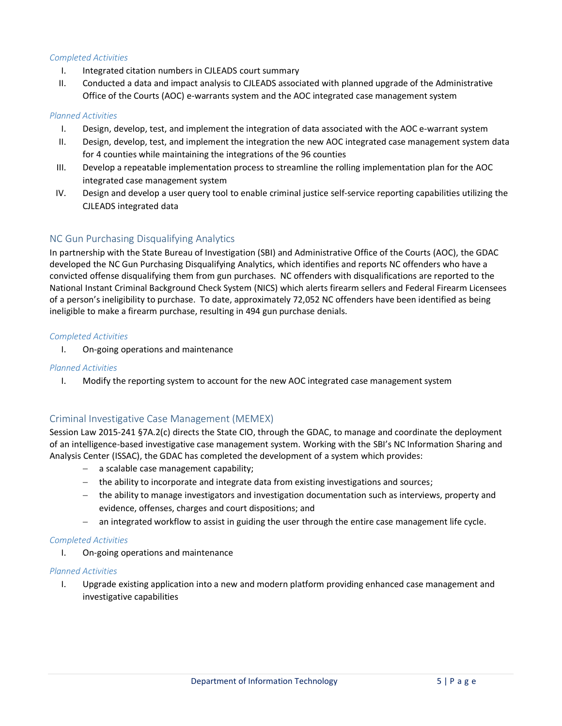### *Completed Activities*

- I. Integrated citation numbers in CJLEADS court summary
- II. Conducted a data and impact analysis to CJLEADS associated with planned upgrade of the Administrative Office of the Courts (AOC) e-warrants system and the AOC integrated case management system

### *Planned Activities*

- I. Design, develop, test, and implement the integration of data associated with the AOC e-warrant system
- II. Design, develop, test, and implement the integration the new AOC integrated case management system data for 4 counties while maintaining the integrations of the 96 counties
- III. Develop a repeatable implementation process to streamline the rolling implementation plan for the AOC integrated case management system
- IV. Design and develop a user query tool to enable criminal justice self-service reporting capabilities utilizing the CJLEADS integrated data

# <span id="page-6-0"></span>NC Gun Purchasing Disqualifying Analytics

In partnership with the State Bureau of Investigation (SBI) and Administrative Office of the Courts (AOC), the GDAC developed the NC Gun Purchasing Disqualifying Analytics, which identifies and reports NC offenders who have a convicted offense disqualifying them from gun purchases. NC offenders with disqualifications are reported to the National Instant Criminal Background Check System (NICS) which alerts firearm sellers and Federal Firearm Licensees of a person's ineligibility to purchase. To date, approximately 72,052 NC offenders have been identified as being ineligible to make a firearm purchase, resulting in 494 gun purchase denials.

### *Completed Activities*

I. On-going operations and maintenance

### *Planned Activities*

I. Modify the reporting system to account for the new AOC integrated case management system

# <span id="page-6-1"></span>Criminal Investigative Case Management (MEMEX)

Session Law 2015-241 §7A.2(c) directs the State CIO, through the GDAC, to manage and coordinate the deployment of an intelligence-based investigative case management system. Working with the SBI's NC Information Sharing and Analysis Center (ISSAC), the GDAC has completed the development of a system which provides:

- − a scalable case management capability;
- − the ability to incorporate and integrate data from existing investigations and sources;
- − the ability to manage investigators and investigation documentation such as interviews, property and evidence, offenses, charges and court dispositions; and
- − an integrated workflow to assist in guiding the user through the entire case management life cycle.

#### *Completed Activities*

I. On-going operations and maintenance

### *Planned Activities*

I. Upgrade existing application into a new and modern platform providing enhanced case management and investigative capabilities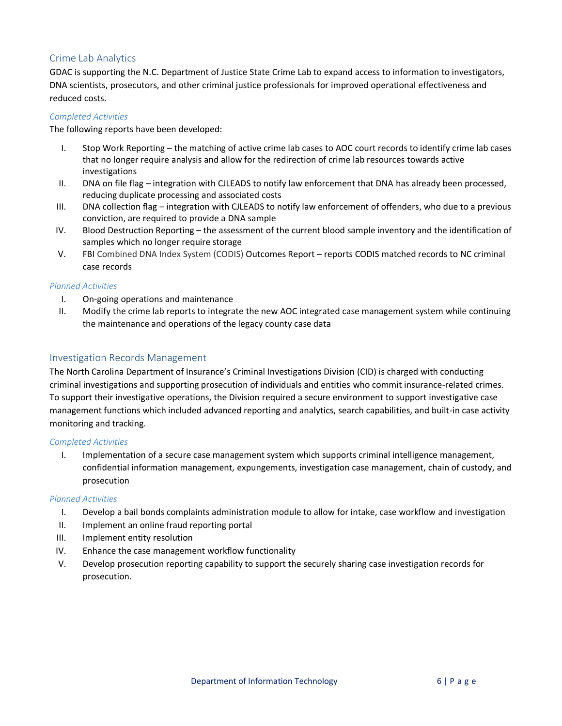# <span id="page-7-0"></span>Crime Lab Analytics

GDAC is supporting the N.C. Department of Justice State Crime Lab to expand access to information to investigators, DNA scientists, prosecutors, and other criminal justice professionals for improved operational effectiveness and reduced costs.

### *Completed Activities*

The following reports have been developed:

- I. Stop Work Reporting the matching of active crime lab cases to AOC court records to identify crime lab cases that no longer require analysis and allow for the redirection of crime lab resources towards active investigations
- II. DNA on file flag integration with CJLEADS to notify law enforcement that DNA has already been processed, reducing duplicate processing and associated costs
- III. DNA collection flag integration with CJLEADS to notify law enforcement of offenders, who due to a previous conviction, are required to provide a DNA sample
- IV. Blood Destruction Reporting the assessment of the current blood sample inventory and the identification of samples which no longer require storage
- V. FBI Combined DNA Index System (CODIS) Outcomes Report reports CODIS matched records to NC criminal case records

### *Planned Activities*

- I. On-going operations and maintenance
- II. Modify the crime lab reports to integrate the new AOC integrated case management system while continuing the maintenance and operations of the legacy county case data

# <span id="page-7-1"></span>Investigation Records Management

The North Carolina Department of Insurance's Criminal Investigations Division (CID) is charged with conducting criminal investigations and supporting prosecution of individuals and entities who commit insurance-related crimes. To support their investigative operations, the Division required a secure environment to support investigative case management functions which included advanced reporting and analytics, search capabilities, and built-in case activity monitoring and tracking.

#### *Completed Activities*

I. Implementation of a secure case management system which supports criminal intelligence management, confidential information management, expungements, investigation case management, chain of custody, and prosecution

#### *Planned Activities*

- I. Develop a bail bonds complaints administration module to allow for intake, case workflow and investigation
- II. Implement an online fraud reporting portal
- III. Implement entity resolution
- IV. Enhance the case management workflow functionality
- V. Develop prosecution reporting capability to support the securely sharing case investigation records for prosecution.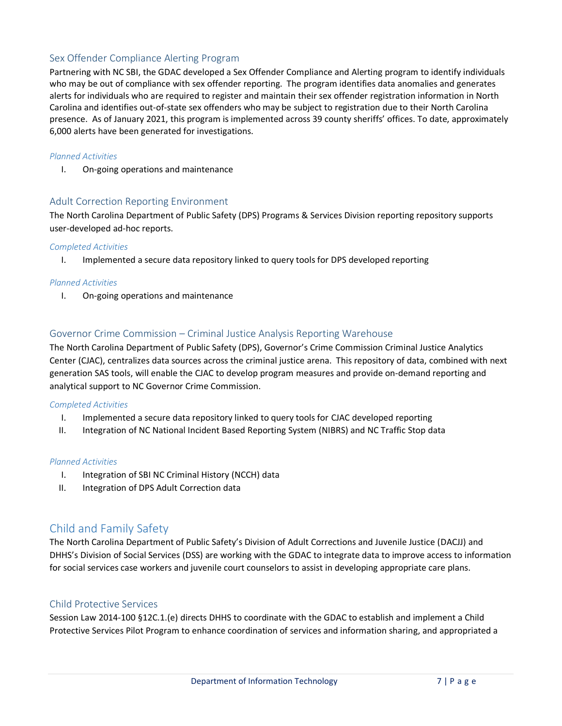# <span id="page-8-0"></span>Sex Offender Compliance Alerting Program

Partnering with NC SBI, the GDAC developed a Sex Offender Compliance and Alerting program to identify individuals who may be out of compliance with sex offender reporting. The program identifies data anomalies and generates alerts for individuals who are required to register and maintain their sex offender registration information in North Carolina and identifies out-of-state sex offenders who may be subject to registration due to their North Carolina presence. As of January 2021, this program is implemented across 39 county sheriffs' offices. To date, approximately 6,000 alerts have been generated for investigations.

### *Planned Activities*

I. On-going operations and maintenance

# <span id="page-8-1"></span>Adult Correction Reporting Environment

The North Carolina Department of Public Safety (DPS) Programs & Services Division reporting repository supports user-developed ad-hoc reports.

#### *Completed Activities*

I. Implemented a secure data repository linked to query tools for DPS developed reporting

### *Planned Activities*

I. On-going operations and maintenance

# <span id="page-8-2"></span>Governor Crime Commission – Criminal Justice Analysis Reporting Warehouse

The North Carolina Department of Public Safety (DPS), Governor's Crime Commission Criminal Justice Analytics Center (CJAC), centralizes data sources across the criminal justice arena. This repository of data, combined with next generation SAS tools, will enable the CJAC to develop program measures and provide on-demand reporting and analytical support to NC Governor Crime Commission.

#### *Completed Activities*

- I. Implemented a secure data repository linked to query tools for CJAC developed reporting
- II. Integration of NC National Incident Based Reporting System (NIBRS) and NC Traffic Stop data

#### *Planned Activities*

- I. Integration of SBI NC Criminal History (NCCH) data
- II. Integration of DPS Adult Correction data

# <span id="page-8-3"></span>Child and Family Safety

The North Carolina Department of Public Safety's Division of Adult Corrections and Juvenile Justice (DACJJ) and DHHS's Division of Social Services (DSS) are working with the GDAC to integrate data to improve access to information for social services case workers and juvenile court counselors to assist in developing appropriate care plans.

# <span id="page-8-4"></span>Child Protective Services

Session Law 2014-100 §12C.1.(e) directs DHHS to coordinate with the GDAC to establish and implement a Child Protective Services Pilot Program to enhance coordination of services and information sharing, and appropriated a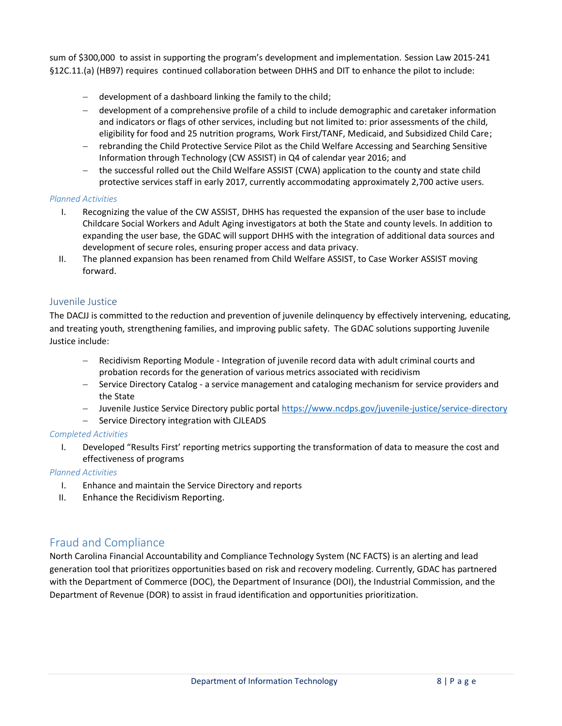sum of \$300,000 to assist in supporting the program's development and implementation. Session Law 2015-241 §12C.11.(a) (HB97) requires continued collaboration between DHHS and DIT to enhance the pilot to include:

- − development of a dashboard linking the family to the child;
- − development of a comprehensive profile of a child to include demographic and caretaker information and indicators or flags of other services, including but not limited to: prior assessments of the child, eligibility for food and 25 nutrition programs, Work First/TANF, Medicaid, and Subsidized Child Care;
- rebranding the Child Protective Service Pilot as the Child Welfare Accessing and Searching Sensitive Information through Technology (CW ASSIST) in Q4 of calendar year 2016; and
- − the successful rolled out the Child Welfare ASSIST (CWA) application to the county and state child protective services staff in early 2017, currently accommodating approximately 2,700 active users.

# *Planned Activities*

- I. Recognizing the value of the CW ASSIST, DHHS has requested the expansion of the user base to include Childcare Social Workers and Adult Aging investigators at both the State and county levels. In addition to expanding the user base, the GDAC will support DHHS with the integration of additional data sources and development of secure roles, ensuring proper access and data privacy.
- II. The planned expansion has been renamed from Child Welfare ASSIST, to Case Worker ASSIST moving forward.

# <span id="page-9-0"></span>Juvenile Justice

The DACJJ is committed to the reduction and prevention of juvenile delinquency by effectively intervening, educating, and treating youth, strengthening families, and improving public safety. The GDAC solutions supporting Juvenile Justice include:

- − Recidivism Reporting Module Integration of juvenile record data with adult criminal courts and probation records for the generation of various metrics associated with recidivism
- − Service Directory Catalog a service management and cataloging mechanism for service providers and the State
- − Juvenile Justice Service Directory public portal<https://www.ncdps.gov/juvenile-justice/service-directory>
- − Service Directory integration with CJLEADS

# *Completed Activities*

I. Developed "Results First' reporting metrics supporting the transformation of data to measure the cost and effectiveness of programs

#### *Planned Activities*

- I. Enhance and maintain the Service Directory and reports
- II. Enhance the Recidivism Reporting.

# <span id="page-9-1"></span>Fraud and Compliance

North Carolina Financial Accountability and Compliance Technology System (NC FACTS) is an alerting and lead generation tool that prioritizes opportunities based on risk and recovery modeling. Currently, GDAC has partnered with the Department of Commerce (DOC), the Department of Insurance (DOI), the Industrial Commission, and the Department of Revenue (DOR) to assist in fraud identification and opportunities prioritization.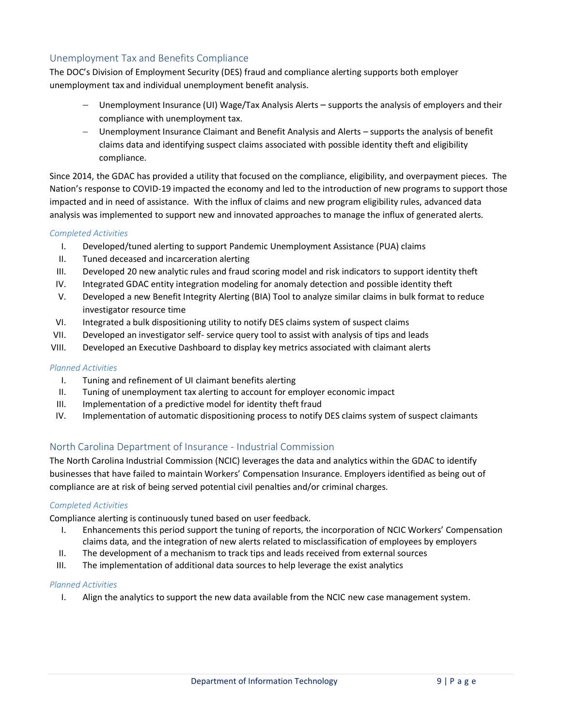# <span id="page-10-0"></span>Unemployment Tax and Benefits Compliance

The DOC's Division of Employment Security (DES) fraud and compliance alerting supports both employer unemployment tax and individual unemployment benefit analysis.

- − Unemployment Insurance (UI) Wage/Tax Analysis Alerts supports the analysis of employers and their compliance with unemployment tax.
- − Unemployment Insurance Claimant and Benefit Analysis and Alerts supports the analysis of benefit claims data and identifying suspect claims associated with possible identity theft and eligibility compliance.

Since 2014, the GDAC has provided a utility that focused on the compliance, eligibility, and overpayment pieces. The Nation's response to COVID-19 impacted the economy and led to the introduction of new programs to support those impacted and in need of assistance. With the influx of claims and new program eligibility rules, advanced data analysis was implemented to support new and innovated approaches to manage the influx of generated alerts.

### *Completed Activities*

- I. Developed/tuned alerting to support Pandemic Unemployment Assistance (PUA) claims
- II. Tuned deceased and incarceration alerting
- III. Developed 20 new analytic rules and fraud scoring model and risk indicators to support identity theft
- IV. Integrated GDAC entity integration modeling for anomaly detection and possible identity theft
- V. Developed a new Benefit Integrity Alerting (BIA) Tool to analyze similar claims in bulk format to reduce investigator resource time
- VI. Integrated a bulk dispositioning utility to notify DES claims system of suspect claims
- VII. Developed an investigator self- service query tool to assist with analysis of tips and leads
- VIII. Developed an Executive Dashboard to display key metrics associated with claimant alerts

### *Planned Activities*

- I. Tuning and refinement of UI claimant benefits alerting
- II. Tuning of unemployment tax alerting to account for employer economic impact
- III. Implementation of a predictive model for identity theft fraud
- IV. Implementation of automatic dispositioning process to notify DES claims system of suspect claimants

# <span id="page-10-1"></span>North Carolina Department of Insurance - Industrial Commission

The North Carolina Industrial Commission (NCIC) leverages the data and analytics within the GDAC to identify businesses that have failed to maintain Workers' Compensation Insurance. Employers identified as being out of compliance are at risk of being served potential civil penalties and/or criminal charges.

# *Completed Activities*

Compliance alerting is continuously tuned based on user feedback.

- I. Enhancements this period support the tuning of reports, the incorporation of NCIC Workers' Compensation claims data, and the integration of new alerts related to misclassification of employees by employers
- II. The development of a mechanism to track tips and leads received from external sources
- III. The implementation of additional data sources to help leverage the exist analytics

# *Planned Activities*

I. Align the analytics to support the new data available from the NCIC new case management system.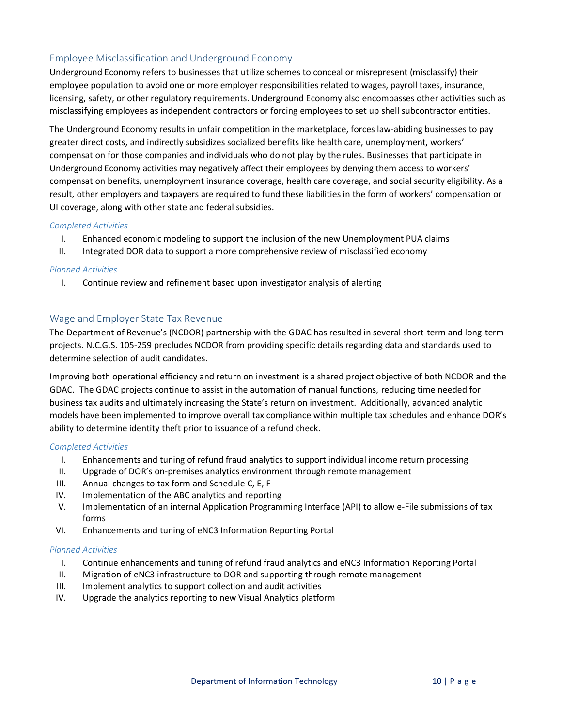# <span id="page-11-0"></span>Employee Misclassification and Underground Economy

Underground Economy refers to businesses that utilize schemes to conceal or misrepresent (misclassify) their employee population to avoid one or more employer responsibilities related to wages, payroll taxes, insurance, licensing, safety, or other regulatory requirements. Underground Economy also encompasses other activities such as misclassifying employees as independent contractors or forcing employees to set up shell subcontractor entities.

The Underground Economy results in unfair competition in the marketplace, forces law-abiding businesses to pay greater direct costs, and indirectly subsidizes socialized benefits like health care, unemployment, workers' compensation for those companies and individuals who do not play by the rules. Businesses that participate in Underground Economy activities may negatively affect their employees by denying them access to workers' compensation benefits, unemployment insurance coverage, health care coverage, and social security eligibility. As a result, other employers and taxpayers are required to fund these liabilities in the form of workers' compensation or UI coverage, along with other state and federal subsidies.

### *Completed Activities*

- I. Enhanced economic modeling to support the inclusion of the new Unemployment PUA claims
- II. Integrated DOR data to support a more comprehensive review of misclassified economy

#### *Planned Activities*

I. Continue review and refinement based upon investigator analysis of alerting

### <span id="page-11-1"></span>Wage and Employer State Tax Revenue

The Department of Revenue's (NCDOR) partnership with the GDAC has resulted in several short-term and long-term projects. N.C.G.S. 105-259 precludes NCDOR from providing specific details regarding data and standards used to determine selection of audit candidates.

Improving both operational efficiency and return on investment is a shared project objective of both NCDOR and the GDAC. The GDAC projects continue to assist in the automation of manual functions, reducing time needed for business tax audits and ultimately increasing the State's return on investment. Additionally, advanced analytic models have been implemented to improve overall tax compliance within multiple tax schedules and enhance DOR's ability to determine identity theft prior to issuance of a refund check.

#### *Completed Activities*

- I. Enhancements and tuning of refund fraud analytics to support individual income return processing
- II. Upgrade of DOR's on-premises analytics environment through remote management
- III. Annual changes to tax form and Schedule C, E, F
- IV. Implementation of the ABC analytics and reporting
- V. Implementation of an internal Application Programming Interface (API) to allow e-File submissions of tax forms
- VI. Enhancements and tuning of eNC3 Information Reporting Portal

#### *Planned Activities*

- I. Continue enhancements and tuning of refund fraud analytics and eNC3 Information Reporting Portal
- II. Migration of eNC3 infrastructure to DOR and supporting through remote management
- III. Implement analytics to support collection and audit activities
- IV. Upgrade the analytics reporting to new Visual Analytics platform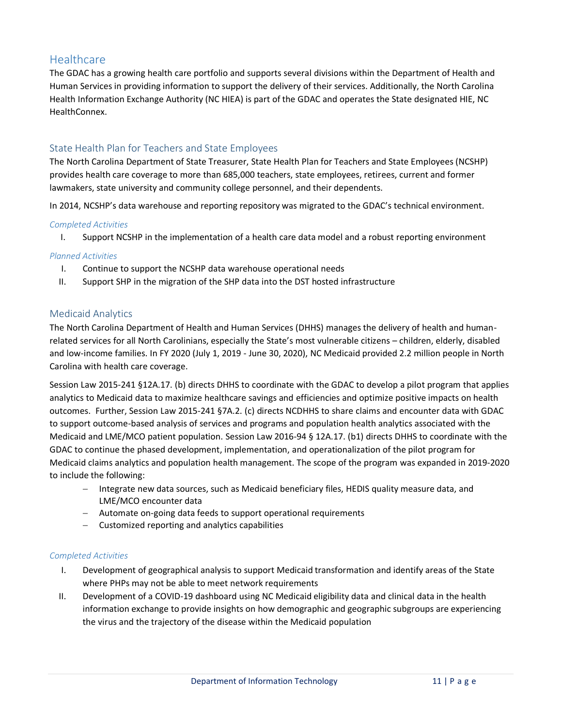# <span id="page-12-0"></span>**Healthcare**

The GDAC has a growing health care portfolio and supports several divisions within the Department of Health and Human Services in providing information to support the delivery of their services. Additionally, the North Carolina Health Information Exchange Authority (NC HIEA) is part of the GDAC and operates the State designated HIE, NC HealthConnex.

# <span id="page-12-1"></span>State Health Plan for Teachers and State Employees

The North Carolina Department of State Treasurer, State Health Plan for Teachers and State Employees (NCSHP) provides health care coverage to more than 685,000 teachers, state employees, retirees, current and former lawmakers, state university and community college personnel, and their dependents.

In 2014, NCSHP's data warehouse and reporting repository was migrated to the GDAC's technical environment.

# *Completed Activities*

I. Support NCSHP in the implementation of a health care data model and a robust reporting environment

### *Planned Activities*

- I. Continue to support the NCSHP data warehouse operational needs
- II. Support SHP in the migration of the SHP data into the DST hosted infrastructure

# <span id="page-12-2"></span>Medicaid Analytics

The North Carolina Department of Health and Human Services (DHHS) manages the delivery of health and humanrelated services for all North Carolinians, especially the State's most vulnerable citizens – children, elderly, disabled and low-income families. In FY 2020 (July 1, 2019 - June 30, 2020), NC Medicaid provided 2.2 million people in North Carolina with health care coverage.

Session Law 2015-241 §12A.17. (b) directs DHHS to coordinate with the GDAC to develop a pilot program that applies analytics to Medicaid data to maximize healthcare savings and efficiencies and optimize positive impacts on health outcomes. Further, Session Law 2015-241 §7A.2. (c) directs NCDHHS to share claims and encounter data with GDAC to support outcome-based analysis of services and programs and population health analytics associated with the Medicaid and LME/MCO patient population. Session Law 2016-94 § 12A.17. (b1) directs DHHS to coordinate with the GDAC to continue the phased development, implementation, and operationalization of the pilot program for Medicaid claims analytics and population health management. The scope of the program was expanded in 2019-2020 to include the following:

- − Integrate new data sources, such as Medicaid beneficiary files, HEDIS quality measure data, and LME/MCO encounter data
- − Automate on-going data feeds to support operational requirements
- − Customized reporting and analytics capabilities

#### *Completed Activities*

- I. Development of geographical analysis to support Medicaid transformation and identify areas of the State where PHPs may not be able to meet network requirements
- II. Development of a COVID-19 dashboard using NC Medicaid eligibility data and clinical data in the health information exchange to provide insights on how demographic and geographic subgroups are experiencing the virus and the trajectory of the disease within the Medicaid population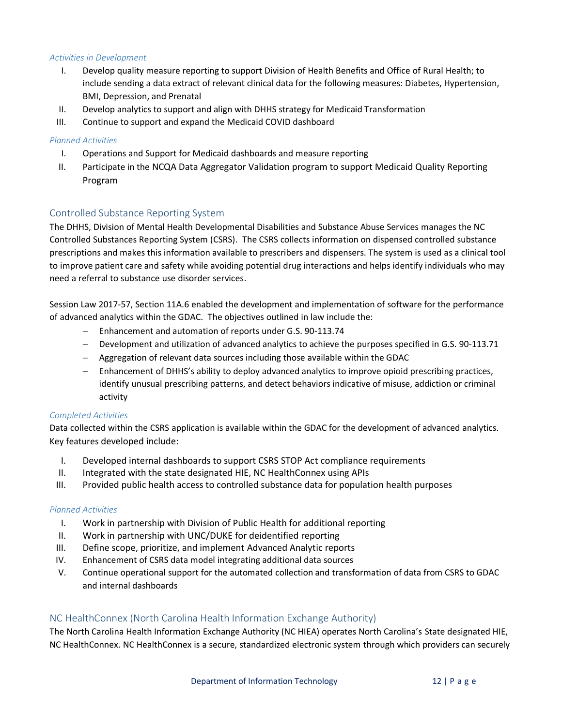#### *Activities in Development*

- I. Develop quality measure reporting to support Division of Health Benefits and Office of Rural Health; to include sending a data extract of relevant clinical data for the following measures: Diabetes, Hypertension, BMI, Depression, and Prenatal
- II. Develop analytics to support and align with DHHS strategy for Medicaid Transformation
- III. Continue to support and expand the Medicaid COVID dashboard

#### *Planned Activities*

- I. Operations and Support for Medicaid dashboards and measure reporting
- II. Participate in the NCQA Data Aggregator Validation program to support Medicaid Quality Reporting Program

### <span id="page-13-0"></span>Controlled Substance Reporting System

The DHHS, Division of Mental Health Developmental Disabilities and Substance Abuse Services manages the NC Controlled Substances Reporting System (CSRS). The CSRS collects information on dispensed controlled substance prescriptions and makes this information available to prescribers and dispensers. The system is used as a clinical tool to improve patient care and safety while avoiding potential drug interactions and helps identify individuals who may need a referral to substance use disorder services.

Session Law 2017-57, Section 11A.6 enabled the development and implementation of software for the performance of advanced analytics within the GDAC. The objectives outlined in law include the:

- − Enhancement and automation of reports under G.S. 90-113.74
- − Development and utilization of advanced analytics to achieve the purposes specified in G.S. 90-113.71
- − Aggregation of relevant data sources including those available within the GDAC
- − Enhancement of DHHS's ability to deploy advanced analytics to improve opioid prescribing practices, identify unusual prescribing patterns, and detect behaviors indicative of misuse, addiction or criminal activity

#### *Completed Activities*

Data collected within the CSRS application is available within the GDAC for the development of advanced analytics. Key features developed include:

- I. Developed internal dashboards to support CSRS STOP Act compliance requirements
- II. Integrated with the state designated HIE, NC HealthConnex using APIs
- III. Provided public health access to controlled substance data for population health purposes

#### *Planned Activities*

- I. Work in partnership with Division of Public Health for additional reporting
- II. Work in partnership with UNC/DUKE for deidentified reporting
- III. Define scope, prioritize, and implement Advanced Analytic reports
- IV. Enhancement of CSRS data model integrating additional data sources
- V. Continue operational support for the automated collection and transformation of data from CSRS to GDAC and internal dashboards

# <span id="page-13-1"></span>NC HealthConnex (North Carolina Health Information Exchange Authority)

The North Carolina Health Information Exchange Authority (NC HIEA) operates North Carolina's State designated HIE, NC HealthConnex. NC HealthConnex is a secure, standardized electronic system through which providers can securely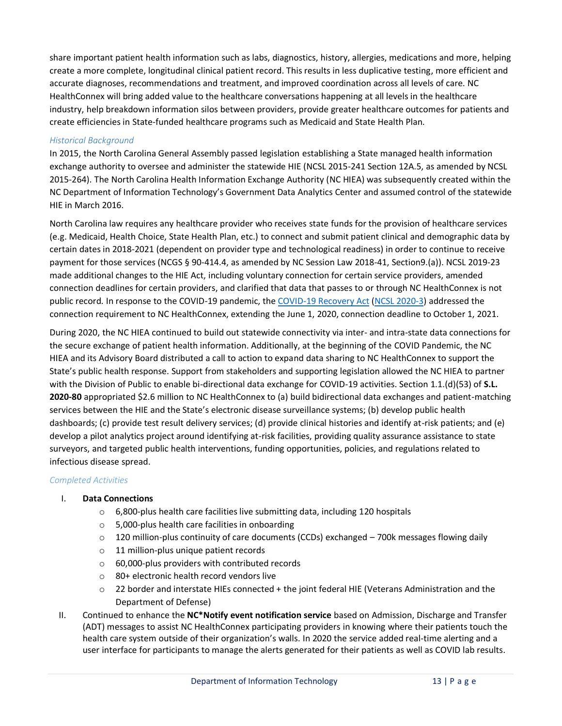share important patient health information such as labs, diagnostics, history, allergies, medications and more, helping create a more complete, longitudinal clinical patient record. This results in less duplicative testing, more efficient and accurate diagnoses, recommendations and treatment, and improved coordination across all levels of care. NC HealthConnex will bring added value to the healthcare conversations happening at all levels in the healthcare industry, help breakdown information silos between providers, provide greater healthcare outcomes for patients and create efficiencies in State-funded healthcare programs such as Medicaid and State Health Plan.

### *Historical Background*

In 2015, the North Carolina General Assembly passed legislation establishing a State managed health information exchange authority to oversee and administer the statewide HIE (NCSL 2015-241 Section 12A.5, as amended by NCSL 2015-264). The North Carolina Health Information Exchange Authority (NC HIEA) was subsequently created within the NC Department of Information Technology's Government Data Analytics Center and assumed control of the statewide HIE in March 2016.

North Carolina law requires any healthcare provider who receives state funds for the provision of healthcare services (e.g. Medicaid, Health Choice, State Health Plan, etc.) to connect and submit patient clinical and demographic data by certain dates in 2018-2021 (dependent on provider type and technological readiness) in order to continue to receive payment for those services (NCGS § 90-414.4, as amended by NC Session Law 2018-41, Section9.(a)). NCSL 2019-23 made additional changes to the HIE Act, including voluntary connection for certain service providers, amended connection deadlines for certain providers, and clarified that data that passes to or through NC HealthConnex is not public record. In response to the COVID-19 pandemic, th[e COVID-19 Recovery Act](https://www.ncleg.gov/Sessions/2019/Bills/Senate/PDF/S704v6.pdf) [\(NCSL 2020-3\)](https://www.ncleg.gov/Sessions/2019/Bills/Senate/PDF/S704v6.pdf) addressed the connection requirement to NC HealthConnex, extending the June 1, 2020, connection deadline to October 1, 2021.

During 2020, the NC HIEA continued to build out statewide connectivity via inter- and intra-state data connections for the secure exchange of patient health information. Additionally, at the beginning of the COVID Pandemic, the NC HIEA and its Advisory Board distributed a call to action to expand data sharing to NC HealthConnex to support the State's public health response. Support from stakeholders and supporting legislation allowed the NC HIEA to partner with the Division of Public to enable bi-directional data exchange for COVID-19 activities. Section 1.1.(d)(53) of **S.L. 2020-80** appropriated \$2.6 million to NC HealthConnex to (a) build bidirectional data exchanges and patient-matching services between the HIE and the State's electronic disease surveillance systems; (b) develop public health dashboards; (c) provide test result delivery services; (d) provide clinical histories and identify at-risk patients; and (e) develop a pilot analytics project around identifying at-risk facilities, providing quality assurance assistance to state surveyors, and targeted public health interventions, funding opportunities, policies, and regulations related to infectious disease spread.

# *Completed Activities*

# I. **Data Connections**

- $\circ$  6,800-plus health care facilities live submitting data, including 120 hospitals
- o 5,000-plus health care facilities in onboarding
- $\circ$  120 million-plus continuity of care documents (CCDs) exchanged 700k messages flowing daily
- o 11 million-plus unique patient records
- o 60,000-plus providers with contributed records
- o 80+ electronic health record vendors live
- o 22 border and interstate HIEs connected + the joint federal HIE (Veterans Administration and the Department of Defense)
- II. Continued to enhance the **NC\*Notify event notification service** based on Admission, Discharge and Transfer (ADT) messages to assist NC HealthConnex participating providers in knowing where their patients touch the health care system outside of their organization's walls. In 2020 the service added real-time alerting and a user interface for participants to manage the alerts generated for their patients as well as COVID lab results.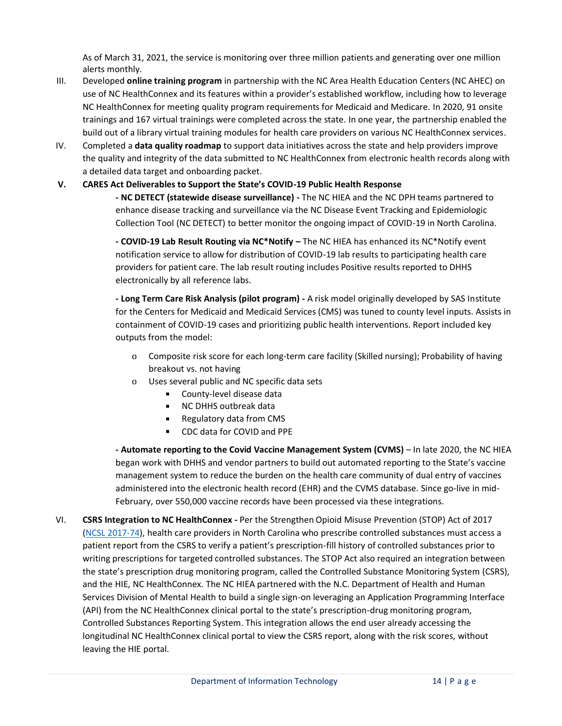As of March 31, 2021, the service is monitoring over three million patients and generating over one million alerts monthly.

- III. Developed **online training program** in partnership with the NC Area Health Education Centers (NC AHEC) on use of NC HealthConnex and its features within a provider's established workflow, including how to leverage NC HealthConnex for meeting quality program requirements for Medicaid and Medicare. In 2020, 91 onsite trainings and 167 virtual trainings were completed across the state. In one year, the partnership enabled the build out of a library virtual training modules for health care providers on various NC HealthConnex services.
- IV. Completed a **data quality roadmap** to support data initiatives across the state and help providers improve the quality and integrity of the data submitted to NC HealthConnex from electronic health records along with a detailed data target and onboarding packet.

# **V. CARES Act Deliverables to Support the State's COVID-19 Public Health Response**

**- NC DETECT (statewide disease surveillance) -** The NC HIEA and the NC DPH teams partnered to enhance disease tracking and surveillance via the NC Disease Event Tracking and Epidemiologic Collection Tool (NC DETECT) to better monitor the ongoing impact of COVID-19 in North Carolina.

**- COVID-19 Lab Result Routing via NC\*Notify –** The NC HIEA has enhanced its NC\*Notify event notification service to allow for distribution of COVID-19 lab results to participating health care providers for patient care. The lab result routing includes Positive results reported to DHHS electronically by all reference labs.

**- Long Term Care Risk Analysis (pilot program) -** A risk model originally developed by SAS Institute for the Centers for Medicaid and Medicaid Services (CMS) was tuned to county level inputs. Assists in containment of COVID-19 cases and prioritizing public health interventions. Report included key outputs from the model:

- o Composite risk score for each long-term care facility (Skilled nursing); Probability of having breakout vs. not having
- o Uses several public and NC specific data sets
	- $\mathbf{u} = \mathbf{u}$ County-level disease data
	- NC DHHS outbreak data
	- Regulatory data from CMS
	- CDC data for COVID and PPE

**- Automate reporting to the Covid Vaccine Management System (CVMS)** – In late 2020, the NC HIEA began work with DHHS and vendor partners to build out automated reporting to the State's vaccine management system to reduce the burden on the health care community of dual entry of vaccines administered into the electronic health record (EHR) and the CVMS database. Since go-live in mid-February, over 550,000 vaccine records have been processed via these integrations.

VI. **CSRS Integration to NC HealthConnex -** Per the Strengthen Opioid Misuse Prevention (STOP) Act of 2017 [\(NCSL 2017-74\)](https://www.ncleg.net/EnactedLegislation/SessionLaws/HTML/2017-2018/SL2017-74.html), health care providers in North Carolina who prescribe controlled substances must access a patient report from the CSRS to verify a patient's prescription-fill history of controlled substances prior to writing prescriptions for targeted controlled substances. The STOP Act also required an integration between the state's prescription drug monitoring program, called the Controlled Substance Monitoring System (CSRS), and the HIE, NC HealthConnex. The NC HIEA partnered with the N.C. Department of Health and Human Services Division of Mental Health to build a single sign-on leveraging an Application Programming Interface (API) from the NC HealthConnex clinical portal to the state's prescription-drug monitoring program, Controlled Substances Reporting System. This integration allows the end user already accessing the longitudinal NC HealthConnex clinical portal to view the CSRS report, along with the risk scores, without leaving the HIE portal.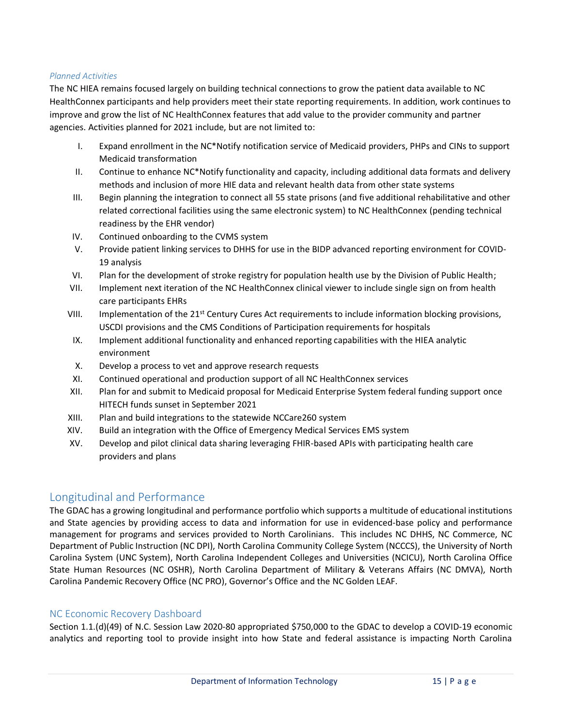# *Planned Activities*

The NC HIEA remains focused largely on building technical connections to grow the patient data available to NC HealthConnex participants and help providers meet their state reporting requirements. In addition, work continues to improve and grow the list of NC HealthConnex [features that add value](http://hiea.nc.gov/nc-healthconnex-value-added-features) to the provider community and partner agencies. Activities planned for 2021 include, but are not limited to:

- I. Expand enrollment in the NC\*Notify notification service of Medicaid providers, PHPs and CINs to support Medicaid transformation
- II. Continue to enhance NC\*Notify functionality and capacity, including additional data formats and delivery methods and inclusion of more HIE data and relevant health data from other state systems
- III. Begin planning the integration to connect all 55 state prisons (and five additional rehabilitative and other related correctional facilities using the same electronic system) to NC HealthConnex (pending technical readiness by the EHR vendor)
- IV. Continued onboarding to the CVMS system
- V. Provide patient linking services to DHHS for use in the BIDP advanced reporting environment for COVID-19 analysis
- VI. Plan for the development of stroke registry for population health use by the Division of Public Health;
- VII. Implement next iteration of the NC HealthConnex clinical viewer to include single sign on from health care participants EHRs
- VIII. Implementation of the 21<sup>st</sup> Century Cures Act requirements to include information blocking provisions, USCDI provisions and the CMS Conditions of Participation requirements for hospitals
- IX. Implement additional functionality and enhanced reporting capabilities with the HIEA analytic environment
- X. Develop a process to vet and approve research requests
- XI. Continued operational and production support of all NC HealthConnex services
- XII. Plan for and submit to Medicaid proposal for Medicaid Enterprise System federal funding support once HITECH funds sunset in September 2021
- XIII. Plan and build integrations to the statewide NCCare260 system
- XIV. Build an integration with the Office of Emergency Medical Services EMS system
- XV. Develop and pilot clinical data sharing leveraging FHIR-based APIs with participating health care providers and plans

# <span id="page-16-0"></span>Longitudinal and Performance

The GDAC has a growing longitudinal and performance portfolio which supports a multitude of educational institutions and State agencies by providing access to data and information for use in evidenced-base policy and performance management for programs and services provided to North Carolinians. This includes NC DHHS, NC Commerce, NC Department of Public Instruction (NC DPI), North Carolina Community College System (NCCCS), the University of North Carolina System (UNC System), North Carolina Independent Colleges and Universities (NCICU), North Carolina Office State Human Resources (NC OSHR), North Carolina Department of Military & Veterans Affairs (NC DMVA), North Carolina Pandemic Recovery Office (NC PRO), Governor's Office and the NC Golden LEAF.

# <span id="page-16-1"></span>NC Economic Recovery Dashboard

Section 1.1.(d)(49) of N.C. Session Law 2020-80 appropriated \$750,000 to the GDAC to develop a COVID-19 economic analytics and reporting tool to provide insight into how State and federal assistance is impacting North Carolina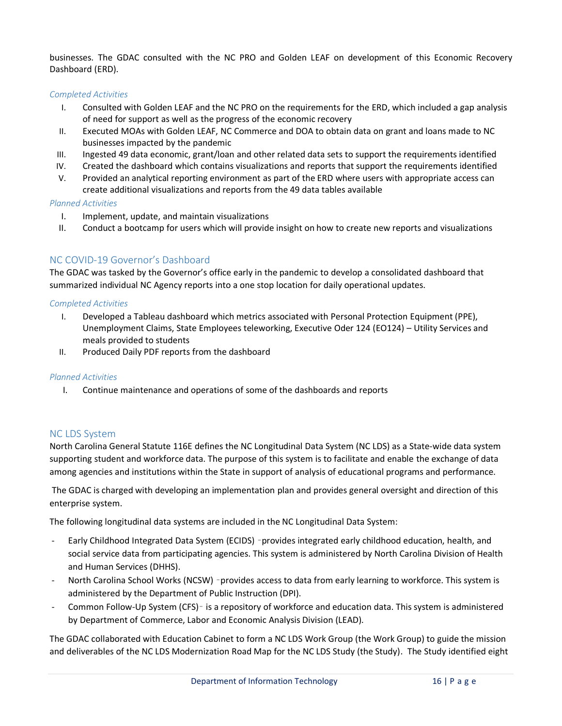businesses. The GDAC consulted with the NC PRO and Golden LEAF on development of this Economic Recovery Dashboard (ERD).

#### *Completed Activities*

- I. Consulted with Golden LEAF and the NC PRO on the requirements for the ERD, which included a gap analysis of need for support as well as the progress of the economic recovery
- II. Executed MOAs with Golden LEAF, NC Commerce and DOA to obtain data on grant and loans made to NC businesses impacted by the pandemic
- III. Ingested 49 data economic, grant/loan and other related data sets to support the requirements identified
- IV. Created the dashboard which contains visualizations and reports that support the requirements identified
- V. Provided an analytical reporting environment as part of the ERD where users with appropriate access can create additional visualizations and reports from the 49 data tables available

#### *Planned Activities*

- I. Implement, update, and maintain visualizations
- II. Conduct a bootcamp for users which will provide insight on how to create new reports and visualizations

# <span id="page-17-0"></span>NC COVID-19 Governor's Dashboard

The GDAC was tasked by the Governor's office early in the pandemic to develop a consolidated dashboard that summarized individual NC Agency reports into a one stop location for daily operational updates.

#### *Completed Activities*

- I. Developed a Tableau dashboard which metrics associated with Personal Protection Equipment (PPE), Unemployment Claims, State Employees teleworking, Executive Oder 124 (EO124) – Utility Services and meals provided to students
- II. Produced Daily PDF reports from the dashboard

#### *Planned Activities*

I. Continue maintenance and operations of some of the dashboards and reports

# <span id="page-17-1"></span>NC LDS System

North Carolina General Statute 116E defines the NC Longitudinal Data System (NC LDS) as a State-wide data system supporting student and workforce data. The purpose of this system is to facilitate and enable the exchange of data among agencies and institutions within the State in support of analysis of educational programs and performance.

The GDAC is charged with developing an implementation plan and provides general oversight and direction of this enterprise system.

The following longitudinal data systems are included in the NC Longitudinal Data System:

- Early Childhood Integrated Data System (ECIDS) -provides integrated early childhood education, health, and social service data from participating agencies. This system is administered by North Carolina Division of Health and Human Services (DHHS).
- North Carolina School Works (NCSW) -provides access to data from early learning to workforce. This system is administered by the Department of Public Instruction (DPI).
- Common Follow-Up System (CFS)– is a repository of workforce and education data. This system is administered by Department of Commerce, Labor and Economic Analysis Division (LEAD).

The GDAC collaborated with Education Cabinet to form a NC LDS Work Group (the Work Group) to guide the mission and deliverables of the NC LDS Modernization Road Map for the NC LDS Study (the Study). The Study identified eight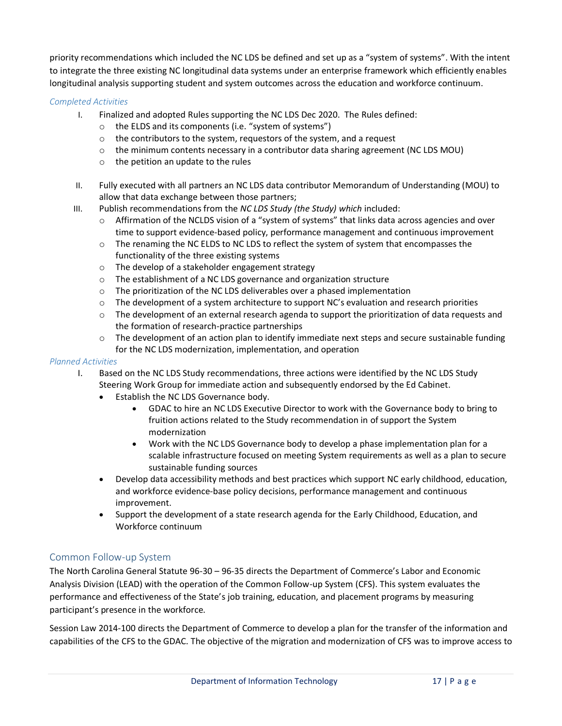priority recommendations which included the NC LDS be defined and set up as a "system of systems". With the intent to integrate the three existing NC longitudinal data systems under an enterprise framework which efficiently enables longitudinal analysis supporting student and system outcomes across the education and workforce continuum.

#### *Completed Activities*

- I. Finalized and adopted Rules supporting the NC LDS Dec 2020. The Rules defined:
	- o the ELDS and its components (i.e. "system of systems")
	- o the contributors to the system, requestors of the system, and a request
	- $\circ$  the minimum contents necessary in a contributor data sharing agreement (NC LDS MOU)
	- $\circ$  the petition an update to the rules
- II. Fully executed with all partners an NC LDS data contributor Memorandum of Understanding (MOU) to allow that data exchange between those partners;
- III. Publish recommendations from the *NC LDS Study (the Study) which* included:
	- $\circ$  Affirmation of the NCLDS vision of a "system of systems" that links data across agencies and over time to support evidence-based policy, performance management and continuous improvement
	- $\circ$  The renaming the NC ELDS to NC LDS to reflect the system of system that encompasses the functionality of the three existing systems
	- o The develop of a stakeholder engagement strategy
	- o The establishment of a NC LDS governance and organization structure
	- o The prioritization of the NC LDS deliverables over a phased implementation
	- $\circ$  The development of a system architecture to support NC's evaluation and research priorities
	- $\circ$  The development of an external research agenda to support the prioritization of data requests and the formation of research-practice partnerships
	- $\circ$  The development of an action plan to identify immediate next steps and secure sustainable funding for the NC LDS modernization, implementation, and operation

#### *Planned Activities*

- I. Based on the NC LDS Study recommendations, three actions were identified by the NC LDS Study Steering Work Group for immediate action and subsequently endorsed by the Ed Cabinet.
	- Establish the NC LDS Governance body.
		- GDAC to hire an NC LDS Executive Director to work with the Governance body to bring to fruition actions related to the Study recommendation in of support the System modernization
		- Work with the NC LDS Governance body to develop a phase implementation plan for a scalable infrastructure focused on meeting System requirements as well as a plan to secure sustainable funding sources
	- Develop data accessibility methods and best practices which support NC early childhood, education, and workforce evidence-base policy decisions, performance management and continuous improvement.
	- Support the development of a state research agenda for the Early Childhood, Education, and Workforce continuum

# <span id="page-18-0"></span>Common Follow-up System

The North Carolina General Statute 96-30 – 96-35 directs the Department of Commerce's Labor and Economic Analysis Division (LEAD) with the operation of the Common Follow-up System (CFS). This system evaluates the performance and effectiveness of the State's job training, education, and placement programs by measuring participant's presence in the workforce.

Session Law 2014-100 directs the Department of Commerce to develop a plan for the transfer of the information and capabilities of the CFS to the GDAC. The objective of the migration and modernization of CFS was to improve access to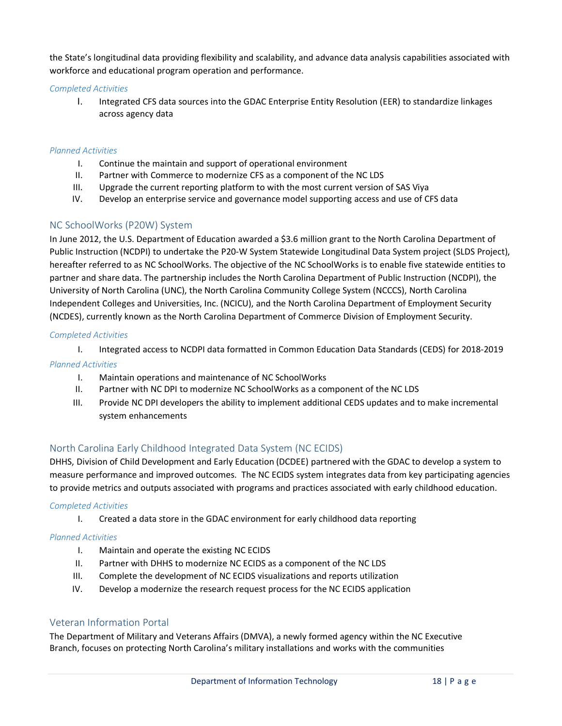the State's longitudinal data providing flexibility and scalability, and advance data analysis capabilities associated with workforce and educational program operation and performance.

# *Completed Activities*

I. Integrated CFS data sources into the GDAC Enterprise Entity Resolution (EER) to standardize linkages across agency data

# *Planned Activities*

- I. Continue the maintain and support of operational environment
- II. Partner with Commerce to modernize CFS as a component of the NC LDS
- III. Upgrade the current reporting platform to with the most current version of SAS Viya
- IV. Develop an enterprise service and governance model supporting access and use of CFS data

# <span id="page-19-0"></span>NC SchoolWorks (P20W) System

In June 2012, the U.S. Department of Education awarded a \$3.6 million grant to the North Carolina Department of Public Instruction (NCDPI) to undertake the P20-W System Statewide Longitudinal Data System project (SLDS Project), hereafter referred to as NC SchoolWorks. The objective of the NC SchoolWorks is to enable five statewide entities to partner and share data. The partnership includes the North Carolina Department of Public Instruction (NCDPI), the University of North Carolina (UNC), the North Carolina Community College System (NCCCS), North Carolina Independent Colleges and Universities, Inc. (NCICU), and the North Carolina Department of Employment Security (NCDES), currently known as the North Carolina Department of Commerce Division of Employment Security.

### *Completed Activities*

I. Integrated access to NCDPI data formatted in Common Education Data Standards (CEDS) for 2018-2019

# *Planned Activities*

- I. Maintain operations and maintenance of NC SchoolWorks
- II. Partner with NC DPI to modernize NC SchoolWorks as a component of the NC LDS
- III. Provide NC DPI developers the ability to implement additional CEDS updates and to make incremental system enhancements

# <span id="page-19-1"></span>North Carolina Early Childhood Integrated Data System (NC ECIDS)

DHHS, Division of Child Development and Early Education (DCDEE) partnered with the GDAC to develop a system to measure performance and improved outcomes. The NC ECIDS system integrates data from key participating agencies to provide metrics and outputs associated with programs and practices associated with early childhood education.

# *Completed Activities*

I. Created a data store in the GDAC environment for early childhood data reporting

# *Planned Activities*

- I. Maintain and operate the existing NC ECIDS
- II. Partner with DHHS to modernize NC ECIDS as a component of the NC LDS
- III. Complete the development of NC ECIDS visualizations and reports utilization
- IV. Develop a modernize the research request process for the NC ECIDS application

# <span id="page-19-2"></span>Veteran Information Portal

The Department of Military and Veterans Affairs (DMVA), a newly formed agency within the NC Executive Branch, focuses on protecting North Carolina's military installations and works with the communities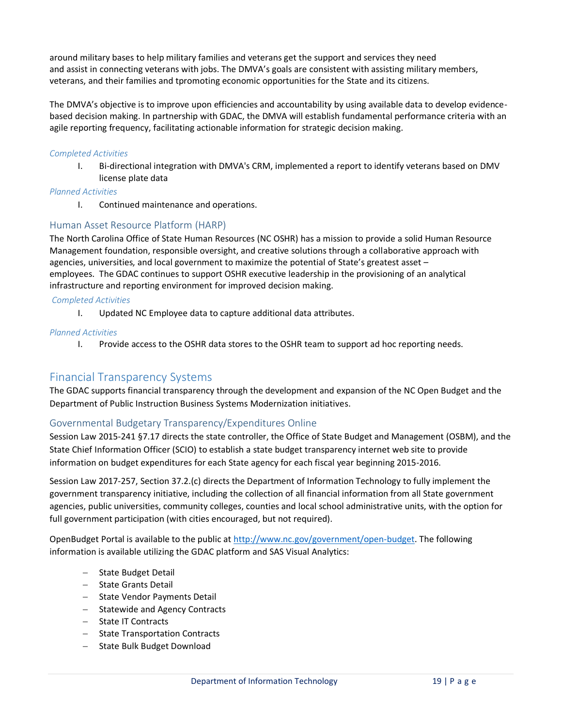around military bases to help military families and veterans get the support and services they need and assist in connecting veterans with jobs. The DMVA's goals are consistent with assisting military members, veterans, and their families and tpromoting economic opportunities for the State and its citizens.

The DMVA's objective is to improve upon efficiencies and accountability by using available data to develop evidencebased decision making. In partnership with GDAC, the DMVA will establish fundamental performance criteria with an agile reporting frequency, facilitating actionable information for strategic decision making.

### *Completed Activities*

I. Bi-directional integration with DMVA's CRM, implemented a report to identify veterans based on DMV license plate data

### *Planned Activities*

I. Continued maintenance and operations.

# <span id="page-20-0"></span>Human Asset Resource Platform (HARP)

The North Carolina Office of State Human Resources (NC OSHR) has a mission to provide a solid Human Resource Management foundation, responsible oversight, and creative solutions through a collaborative approach with agencies, universities, and local government to maximize the potential of State's greatest asset – employees. The GDAC continues to support OSHR executive leadership in the provisioning of an analytical infrastructure and reporting environment for improved decision making.

# *Completed Activities*

I. Updated NC Employee data to capture additional data attributes.

### *Planned Activities*

I. Provide access to the OSHR data stores to the OSHR team to support ad hoc reporting needs.

# <span id="page-20-1"></span>Financial Transparency Systems

The GDAC supports financial transparency through the development and expansion of the NC Open Budget and the Department of Public Instruction Business Systems Modernization initiatives.

# <span id="page-20-2"></span>Governmental Budgetary Transparency/Expenditures Online

Session Law 2015-241 §7.17 directs the state controller, the Office of State Budget and Management (OSBM), and the State Chief Information Officer (SCIO) to establish a state budget transparency internet web site to provide information on budget expenditures for each State agency for each fiscal year beginning 2015-2016.

Session Law 2017-257, Section 37.2.(c) directs the Department of Information Technology to fully implement the government transparency initiative, including the collection of all financial information from all State government agencies, public universities, community colleges, counties and local school administrative units, with the option for full government participation (with cities encouraged, but not required).

OpenBudget Portal is available to the public at [http://www.nc.gov/government/open-budget.](http://www.nc.gov/government/open-budget) The following information is available utilizing the GDAC platform and SAS Visual Analytics:

- − State Budget Detail
- − State Grants Detail
- − State Vendor Payments Detail
- − Statewide and Agency Contracts
- − State IT Contracts
- − State Transportation Contracts
- − State Bulk Budget Download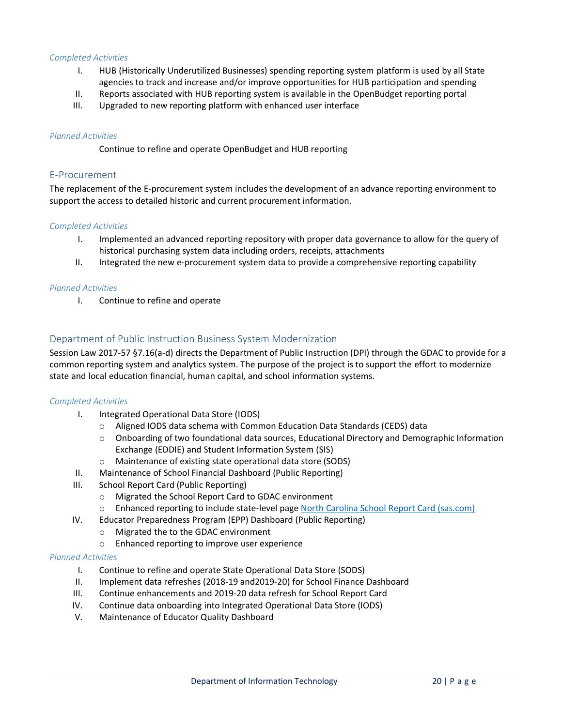#### *Completed Activities*

- I. HUB (Historically Underutilized Businesses) spending reporting system platform is used by all State agencies to track and increase and/or improve opportunities for HUB participation and spending
- II. Reports associated with HUB reporting system is available in the OpenBudget reporting portal
- III. Upgraded to new reporting platform with enhanced user interface

#### *Planned Activities*

Continue to refine and operate OpenBudget and HUB reporting

#### <span id="page-21-0"></span>E-Procurement

The replacement of the E-procurement system includes the development of an advance reporting environment to support the access to detailed historic and current procurement information.

#### *Completed Activities*

- I. Implemented an advanced reporting repository with proper data governance to allow for the query of historical purchasing system data including orders, receipts, attachments
- II. Integrated the new e-procurement system data to provide a comprehensive reporting capability

#### *Planned Activities*

I. Continue to refine and operate

# <span id="page-21-1"></span>Department of Public Instruction Business System Modernization

Session Law 2017-57 §7.16(a-d) directs the Department of Public Instruction (DPI) through the GDAC to provide for a common reporting system and analytics system. The purpose of the project is to support the effort to modernize state and local education financial, human capital, and school information systems.

#### *Completed Activities*

- I. Integrated Operational Data Store (IODS)
	- o Aligned IODS data schema with Common Education Data Standards (CEDS) data
	- $\circ$  Onboarding of two foundational data sources, Educational Directory and Demographic Information Exchange (EDDIE) and Student Information System (SIS)
	- o Maintenance of existing state operational data store (SODS)
- II. Maintenance of School Financial Dashboard (Public Reporting)
- III. School Report Card (Public Reporting)
	- o Migrated the School Report Card to GDAC environment
	- o Enhanced reporting to include state-level page [North Carolina School Report Card \(sas.com\)](https://ncreports.ondemand.sas.com/src/)
- IV. Educator Preparedness Program (EPP) Dashboard (Public Reporting)
	- o Migrated the to the GDAC environment
	- o Enhanced reporting to improve user experience

#### *Planned Activities*

- I. Continue to refine and operate State Operational Data Store (SODS)
- II. Implement data refreshes (2018-19 and2019-20) for School Finance Dashboard
- III. Continue enhancements and 2019-20 data refresh for School Report Card
- IV. Continue data onboarding into Integrated Operational Data Store (IODS)
- V. Maintenance of Educator Quality Dashboard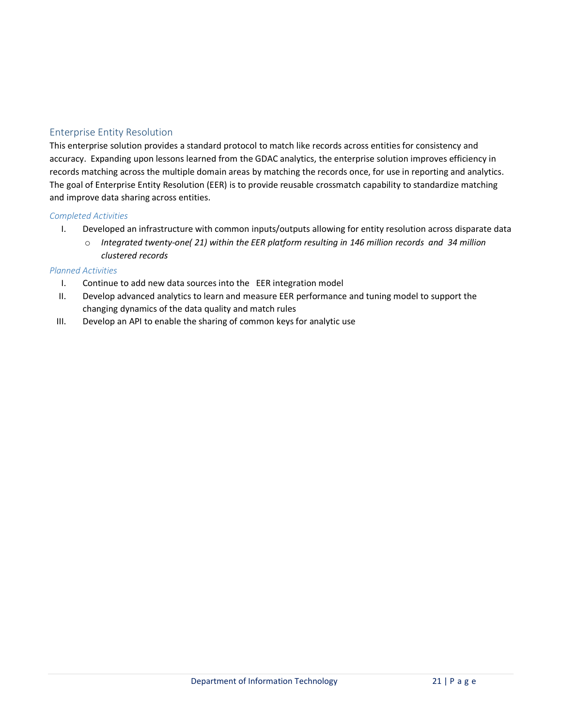# <span id="page-22-0"></span>Enterprise Entity Resolution

This enterprise solution provides a standard protocol to match like records across entities for consistency and accuracy. Expanding upon lessons learned from the GDAC analytics, the enterprise solution improves efficiency in records matching across the multiple domain areas by matching the records once, for use in reporting and analytics. The goal of Enterprise Entity Resolution (EER) is to provide reusable crossmatch capability to standardize matching and improve data sharing across entities.

# *Completed Activities*

- I. Developed an infrastructure with common inputs/outputs allowing for entity resolution across disparate data
	- o *Integrated twenty-one( 21) within the EER platform resulting in 146 million records and 34 million clustered records*

# *Planned Activities*

- I. Continue to add new data sources into the EER integration model
- II. Develop advanced analytics to learn and measure EER performance and tuning model to support the changing dynamics of the data quality and match rules
- III. Develop an API to enable the sharing of common keys for analytic use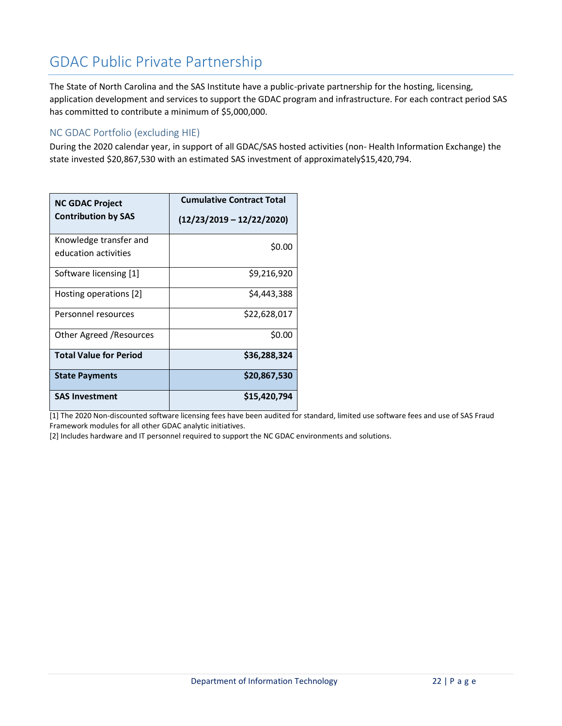# <span id="page-23-0"></span>GDAC Public Private Partnership

The State of North Carolina and the SAS Institute have a public-private partnership for the hosting, licensing, application development and services to support the GDAC program and infrastructure. For each contract period SAS has committed to contribute a minimum of \$5,000,000.

# <span id="page-23-1"></span>NC GDAC Portfolio (excluding HIE)

During the 2020 calendar year, in support of all GDAC/SAS hosted activities (non- Health Information Exchange) the state invested \$20,867,530 with an estimated SAS investment of approximately\$15,420,794.

| <b>NC GDAC Project</b><br><b>Contribution by SAS</b> | <b>Cumulative Contract Total</b><br>$(12/23/2019 - 12/22/2020)$ |
|------------------------------------------------------|-----------------------------------------------------------------|
| Knowledge transfer and<br>education activities       | \$0.00                                                          |
| Software licensing [1]                               | \$9,216,920                                                     |
| Hosting operations [2]                               | \$4,443,388                                                     |
| Personnel resources                                  | \$22,628,017                                                    |
| Other Agreed / Resources                             | \$0.00                                                          |
| <b>Total Value for Period</b>                        | \$36,288,324                                                    |
| <b>State Payments</b>                                | \$20,867,530                                                    |
| <b>SAS Investment</b>                                | \$15,420,794                                                    |

[1] The 2020 Non-discounted software licensing fees have been audited for standard, limited use software fees and use of SAS Fraud Framework modules for all other GDAC analytic initiatives.

[2] Includes hardware and IT personnel required to support the NC GDAC environments and solutions.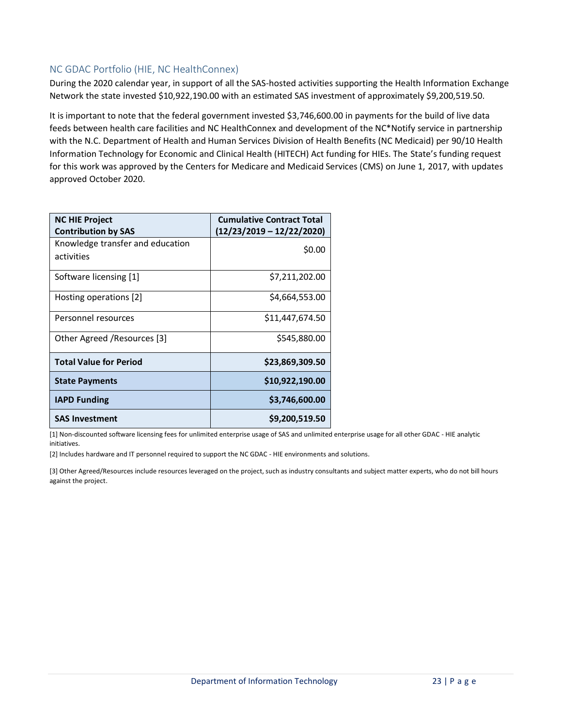# <span id="page-24-0"></span>NC GDAC Portfolio (HIE, NC HealthConnex)

During the 2020 calendar year, in support of all the SAS-hosted activities supporting the Health Information Exchange Network the state invested \$10,922,190.00 with an estimated SAS investment of approximately \$9,200,519.50.

It is important to note that the federal government invested \$3,746,600.00 in payments for the build of live data feeds between health care facilities and NC HealthConnex and development of the NC\*Notify service in partnership with the N.C. Department of Health and Human Services Division of Health Benefits (NC Medicaid) per 90/10 Health Information Technology for Economic and Clinical Health (HITECH) Act funding for HIEs. The State's funding request for this work was approved by the Centers for Medicare and Medicaid Services (CMS) on June 1, 2017, with updates approved October 2020.

| <b>NC HIE Project</b><br><b>Contribution by SAS</b> | <b>Cumulative Contract Total</b><br>(12/23/2019 – 12/22/2020) |
|-----------------------------------------------------|---------------------------------------------------------------|
| Knowledge transfer and education<br>activities      | \$0.00                                                        |
| Software licensing [1]                              | \$7,211,202.00                                                |
| Hosting operations [2]                              | \$4,664,553.00                                                |
| Personnel resources                                 | \$11,447,674.50                                               |
| Other Agreed / Resources [3]                        | \$545,880.00                                                  |
| <b>Total Value for Period</b>                       | \$23,869,309.50                                               |
| <b>State Payments</b>                               | \$10,922,190.00                                               |
| <b>IAPD Funding</b>                                 | \$3,746,600.00                                                |
| <b>SAS Investment</b>                               | \$9,200,519.50                                                |

[1] Non-discounted software licensing fees for unlimited enterprise usage of SAS and unlimited enterprise usage for all other GDAC - HIE analytic initiatives.

[2] Includes hardware and IT personnel required to support the NC GDAC - HIE environments and solutions.

[3] Other Agreed/Resources include resources leveraged on the project, such as industry consultants and subject matter experts, who do not bill hours against the project.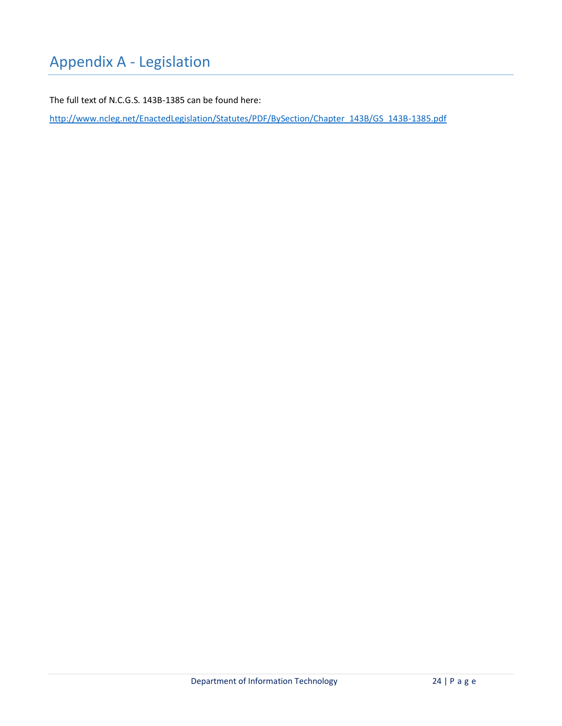<span id="page-25-0"></span>The full text of N.C.G.S. 143B-1385 can be found here:

[http://www.ncleg.net/EnactedLegislation/Statutes/PDF/BySection/Chapter\\_143B/GS\\_143B-1385.pdf](http://www.ncleg.net/EnactedLegislation/Statutes/PDF/BySection/Chapter_143B/GS_143B-1385.pdf)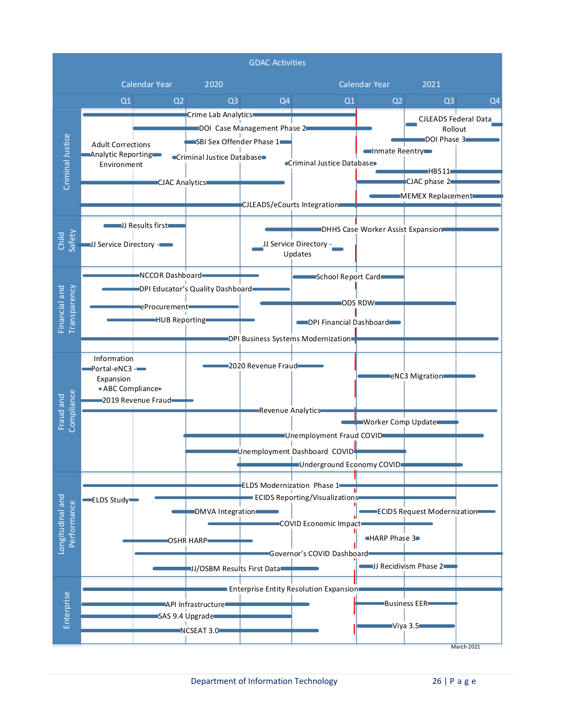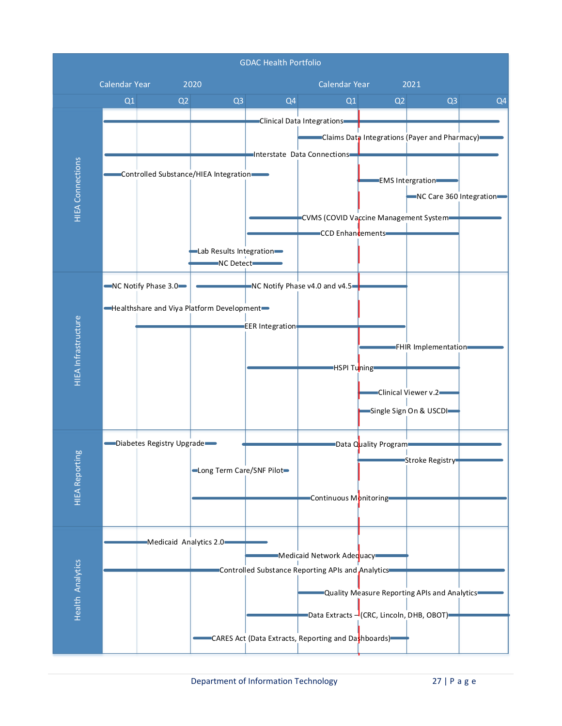